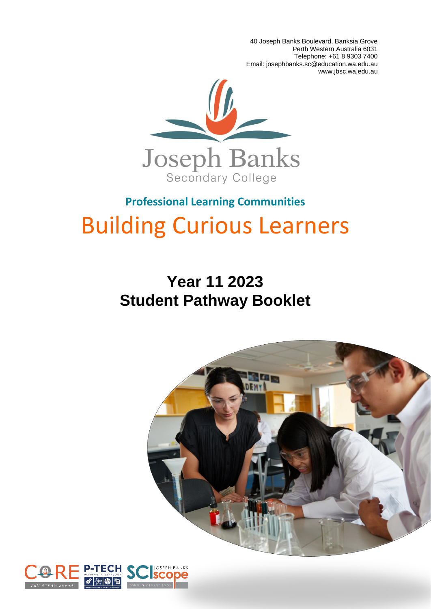40 Joseph Banks Boulevard, Banksia Grove Perth Western Australia 6031 Telephone: +61 8 9303 7400 Email: josephbanks.sc@education.wa.edu.au www.jbsc.wa.edu.au



# **Professional Learning Communities** Building Curious Learners

# **Year 11 2023 Student Pathway Booklet**



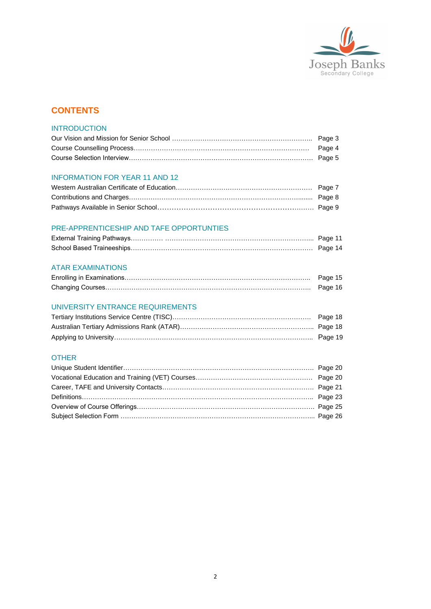

### **CONTENTS**

#### **INTRODUCTION**

#### INFORMATION FOR YEAR 11 AND 12

#### PRE-APPRENTICESHIP AND TAFE OPPORTUNTIES

#### ATAR EXAMINATIONS

#### UNIVERSITY ENTRANCE REQUIREMENTS

#### OTHER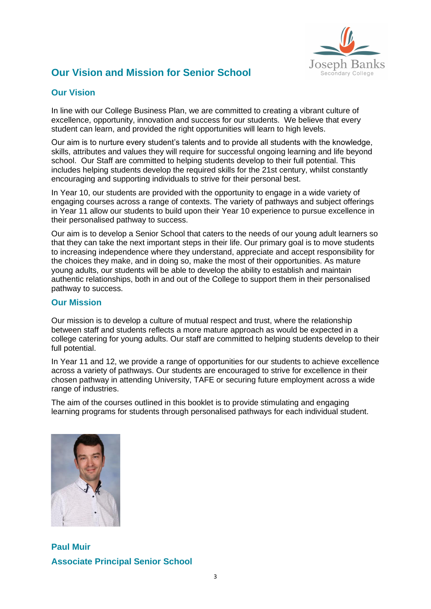

# **Our Vision and Mission for Senior School**

### **Our Vision**

In line with our College Business Plan, we are committed to creating a vibrant culture of excellence, opportunity, innovation and success for our students. We believe that every student can learn, and provided the right opportunities will learn to high levels.

Our aim is to nurture every student's talents and to provide all students with the knowledge, skills, attributes and values they will require for successful ongoing learning and life beyond school. Our Staff are committed to helping students develop to their full potential. This includes helping students develop the required skills for the 21st century, whilst constantly encouraging and supporting individuals to strive for their personal best.

In Year 10, our students are provided with the opportunity to engage in a wide variety of engaging courses across a range of contexts. The variety of pathways and subject offerings in Year 11 allow our students to build upon their Year 10 experience to pursue excellence in their personalised pathway to success.

Our aim is to develop a Senior School that caters to the needs of our young adult learners so that they can take the next important steps in their life. Our primary goal is to move students to increasing independence where they understand, appreciate and accept responsibility for the choices they make, and in doing so, make the most of their opportunities. As mature young adults, our students will be able to develop the ability to establish and maintain authentic relationships, both in and out of the College to support them in their personalised pathway to success.

#### **Our Mission**

Our mission is to develop a culture of mutual respect and trust, where the relationship between staff and students reflects a more mature approach as would be expected in a college catering for young adults. Our staff are committed to helping students develop to their full potential.

In Year 11 and 12, we provide a range of opportunities for our students to achieve excellence across a variety of pathways. Our students are encouraged to strive for excellence in their chosen pathway in attending University, TAFE or securing future employment across a wide range of industries.

The aim of the courses outlined in this booklet is to provide stimulating and engaging learning programs for students through personalised pathways for each individual student.

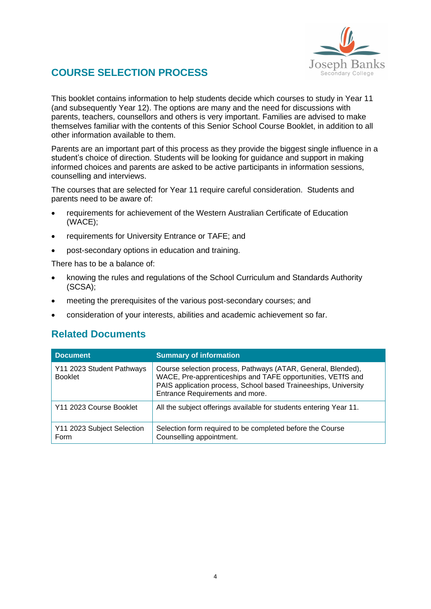

# **COURSE SELECTION PROCESS**

This booklet contains information to help students decide which courses to study in Year 11 (and subsequently Year 12). The options are many and the need for discussions with parents, teachers, counsellors and others is very important. Families are advised to make themselves familiar with the contents of this Senior School Course Booklet, in addition to all other information available to them.

Parents are an important part of this process as they provide the biggest single influence in a student's choice of direction. Students will be looking for guidance and support in making informed choices and parents are asked to be active participants in information sessions, counselling and interviews.

The courses that are selected for Year 11 require careful consideration. Students and parents need to be aware of:

- requirements for achievement of the Western Australian Certificate of Education (WACE);
- requirements for University Entrance or TAFE; and
- post-secondary options in education and training.

There has to be a balance of:

- knowing the rules and regulations of the School Curriculum and Standards Authority (SCSA);
- meeting the prerequisites of the various post-secondary courses; and
- consideration of your interests, abilities and academic achievement so far.

### **Related Documents**

| <b>Document</b>                             | <b>Summary of information</b>                                                                                                                                                                                                     |
|---------------------------------------------|-----------------------------------------------------------------------------------------------------------------------------------------------------------------------------------------------------------------------------------|
| Y11 2023 Student Pathways<br><b>Booklet</b> | Course selection process, Pathways (ATAR, General, Blended),<br>WACE, Pre-apprenticeships and TAFE opportunities, VETfS and<br>PAIS application process, School based Traineeships, University<br>Entrance Requirements and more. |
| Y11 2023 Course Booklet                     | All the subject offerings available for students entering Year 11.                                                                                                                                                                |
| Y11 2023 Subject Selection<br>Form          | Selection form required to be completed before the Course<br>Counselling appointment.                                                                                                                                             |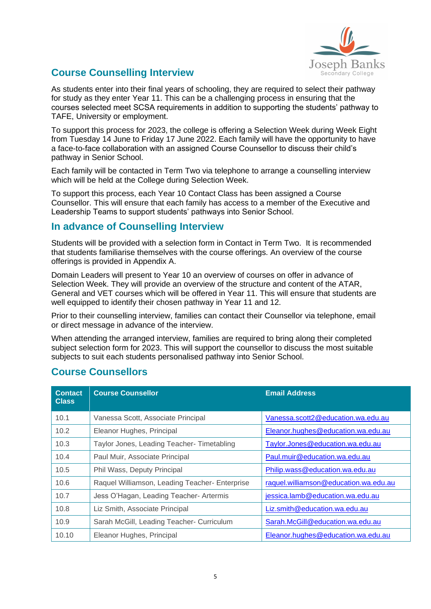

# **Course Counselling Interview**

As students enter into their final years of schooling, they are required to select their pathway for study as they enter Year 11. This can be a challenging process in ensuring that the courses selected meet SCSA requirements in addition to supporting the students' pathway to TAFE, University or employment.

To support this process for 2023, the college is offering a Selection Week during Week Eight from Tuesday 14 June to Friday 17 June 2022. Each family will have the opportunity to have a face-to-face collaboration with an assigned Course Counsellor to discuss their child's pathway in Senior School.

Each family will be contacted in Term Two via telephone to arrange a counselling interview which will be held at the College during Selection Week.

To support this process, each Year 10 Contact Class has been assigned a Course Counsellor. This will ensure that each family has access to a member of the Executive and Leadership Teams to support students' pathways into Senior School.

### **In advance of Counselling Interview**

Students will be provided with a selection form in Contact in Term Two. It is recommended that students familiarise themselves with the course offerings. An overview of the course offerings is provided in [Appendix A.](#page-24-0)

Domain Leaders will present to Year 10 an overview of courses on offer in advance of Selection Week. They will provide an overview of the structure and content of the ATAR, General and VET courses which will be offered in Year 11. This will ensure that students are well equipped to identify their chosen pathway in Year 11 and 12.

Prior to their counselling interview, families can contact their Counsellor via telephone, email or direct message in advance of the interview.

When attending the arranged interview, families are required to bring along their completed subject selection form for 2023. This will support the counsellor to discuss the most suitable subjects to suit each students personalised pathway into Senior School.

| <b>Contact</b><br><b>Class</b> | <b>Course Counsellor</b>                       | <b>Email Address</b>                  |
|--------------------------------|------------------------------------------------|---------------------------------------|
| 10.1                           | Vanessa Scott, Associate Principal             | Vanessa.scott2@education.wa.edu.au    |
| 10.2                           | Eleanor Hughes, Principal                      | Eleanor.hughes@education.wa.edu.au    |
| 10.3                           | Taylor Jones, Leading Teacher- Timetabling     | Taylor.Jones@education.wa.edu.au      |
| 10.4                           | Paul Muir, Associate Principal                 | Paul.muir@education.wa.edu.au         |
| 10.5                           | Phil Wass, Deputy Principal                    | Philip.wass@education.wa.edu.au       |
| 10.6                           | Raquel Williamson, Leading Teacher- Enterprise | raquel.williamson@education.wa.edu.au |
| 10.7                           | Jess O'Hagan, Leading Teacher- Artermis        | jessica.lamb@education.wa.edu.au      |
| 10.8                           | Liz Smith, Associate Principal                 | Liz.smith@education.wa.edu.au         |
| 10.9                           | Sarah McGill, Leading Teacher- Curriculum      | Sarah.McGill@education.wa.edu.au      |
| 10.10                          | Eleanor Hughes, Principal                      | Eleanor.hughes@education.wa.edu.au    |

# **Course Counsellors**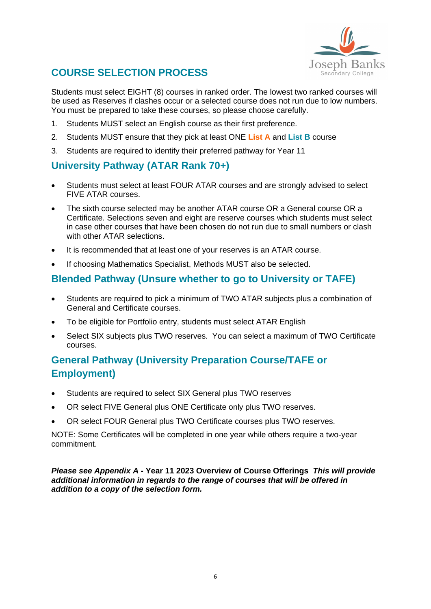

# **COURSE SELECTION PROCESS**

Students must select EIGHT (8) courses in ranked order. The lowest two ranked courses will be used as Reserves if clashes occur or a selected course does not run due to low numbers. You must be prepared to take these courses, so please choose carefully.

- 1. Students MUST select an English course as their first preference.
- 2. Students MUST ensure that they pick at least ONE **List A** and **List B** course
- 3. Students are required to identify their preferred pathway for Year 11

# **University Pathway (ATAR Rank 70+)**

- Students must select at least FOUR ATAR courses and are strongly advised to select FIVE ATAR courses.
- The sixth course selected may be another ATAR course OR a General course OR a Certificate. Selections seven and eight are reserve courses which students must select in case other courses that have been chosen do not run due to small numbers or clash with other ATAR selections.
- It is recommended that at least one of your reserves is an ATAR course.
- If choosing Mathematics Specialist, Methods MUST also be selected.

# **Blended Pathway (Unsure whether to go to University or TAFE)**

- Students are required to pick a minimum of TWO ATAR subjects plus a combination of General and Certificate courses.
- To be eligible for Portfolio entry, students must select ATAR English
- Select SIX subjects plus TWO reserves. You can select a maximum of TWO Certificate courses.

# **General Pathway (University Preparation Course/TAFE or Employment)**

- Students are required to select SIX General plus TWO reserves
- OR select FIVE General plus ONE Certificate only plus TWO reserves.
- OR select FOUR General plus TWO Certificate courses plus TWO reserves.

NOTE: Some Certificates will be completed in one year while others require a two-year commitment.

*Please see [Appendix A](#page-24-0) -* **Year 11 2023 [Overview of Course Offerings](#page-24-0)** *This will provide additional information in regards to the range of courses that will be offered in addition to a copy of the selection form.*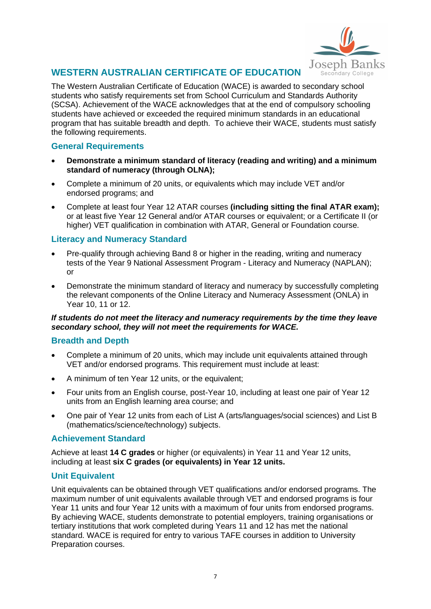

# **WESTERN AUSTRALIAN CERTIFICATE OF EDUCATION**

The Western Australian Certificate of Education (WACE) is awarded to secondary school students who satisfy requirements set from School Curriculum and Standards Authority (SCSA). Achievement of the WACE acknowledges that at the end of compulsory schooling students have achieved or exceeded the required minimum standards in an educational program that has suitable breadth and depth. To achieve their WACE, students must satisfy the following requirements.

### **General Requirements**

- **Demonstrate a minimum standard of literacy (reading and writing) and a minimum standard of numeracy (through OLNA);**
- Complete a minimum of 20 units, or equivalents which may include VET and/or endorsed programs; and
- Complete at least four Year 12 ATAR courses **(including sitting the final ATAR exam);** or at least five Year 12 General and/or ATAR courses or equivalent; or a Certificate II (or higher) VET qualification in combination with ATAR, General or Foundation course.

### **Literacy and Numeracy Standard**

- Pre-qualify through achieving Band 8 or higher in the reading, writing and numeracy tests of the Year 9 National Assessment Program - Literacy and Numeracy (NAPLAN); or
- Demonstrate the minimum standard of literacy and numeracy by successfully completing the relevant components of the Online Literacy and Numeracy Assessment (ONLA) in Year 10, 11 or 12.

#### *If students do not meet the literacy and numeracy requirements by the time they leave secondary school, they will not meet the requirements for WACE.*

### **Breadth and Depth**

- Complete a minimum of 20 units, which may include unit equivalents attained through VET and/or endorsed programs. This requirement must include at least:
- A minimum of ten Year 12 units, or the equivalent;
- Four units from an English course, post-Year 10, including at least one pair of Year 12 units from an English learning area course; and
- One pair of Year 12 units from each of List A (arts/languages/social sciences) and List B (mathematics/science/technology) subjects.

### **Achievement Standard**

Achieve at least **14 C grades** or higher (or equivalents) in Year 11 and Year 12 units, including at least **six C grades (or equivalents) in Year 12 units.**

### **Unit Equivalent**

Unit equivalents can be obtained through VET qualifications and/or endorsed programs. The maximum number of unit equivalents available through VET and endorsed programs is four Year 11 units and four Year 12 units with a maximum of four units from endorsed programs. By achieving WACE, students demonstrate to potential employers, training organisations or tertiary institutions that work completed during Years 11 and 12 has met the national standard. WACE is required for entry to various TAFE courses in addition to University Preparation courses.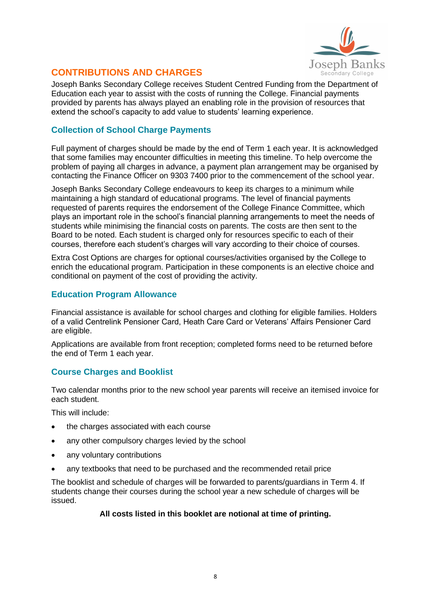

# **CONTRIBUTIONS AND CHARGES**

Joseph Banks Secondary College receives Student Centred Funding from the Department of Education each year to assist with the costs of running the College. Financial payments provided by parents has always played an enabling role in the provision of resources that extend the school's capacity to add value to students' learning experience.

### **Collection of School Charge Payments**

Full payment of charges should be made by the end of Term 1 each year. It is acknowledged that some families may encounter difficulties in meeting this timeline. To help overcome the problem of paying all charges in advance, a payment plan arrangement may be organised by contacting the Finance Officer on 9303 7400 prior to the commencement of the school year.

Joseph Banks Secondary College endeavours to keep its charges to a minimum while maintaining a high standard of educational programs. The level of financial payments requested of parents requires the endorsement of the College Finance Committee, which plays an important role in the school's financial planning arrangements to meet the needs of students while minimising the financial costs on parents. The costs are then sent to the Board to be noted. Each student is charged only for resources specific to each of their courses, therefore each student's charges will vary according to their choice of courses.

Extra Cost Options are charges for optional courses/activities organised by the College to enrich the educational program. Participation in these components is an elective choice and conditional on payment of the cost of providing the activity.

### **Education Program Allowance**

Financial assistance is available for school charges and clothing for eligible families. Holders of a valid Centrelink Pensioner Card, Heath Care Card or Veterans' Affairs Pensioner Card are eligible.

Applications are available from front reception; completed forms need to be returned before the end of Term 1 each year.

### **Course Charges and Booklist**

Two calendar months prior to the new school year parents will receive an itemised invoice for each student.

This will include:

- the charges associated with each course
- any other compulsory charges levied by the school
- any voluntary contributions
- any textbooks that need to be purchased and the recommended retail price

The booklist and schedule of charges will be forwarded to parents/guardians in Term 4. If students change their courses during the school year a new schedule of charges will be issued.

#### **All costs listed in this booklet are notional at time of printing.**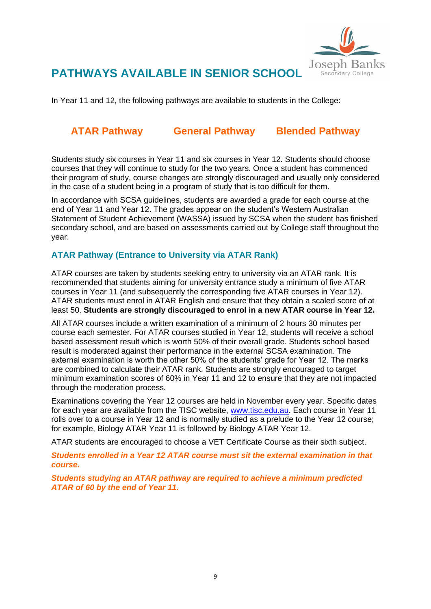

# **PATHWAYS AVAILABLE IN SENIOR SCHOOL**

In Year 11 and 12, the following pathways are available to students in the College:

# **ATAR Pathway General Pathway Blended Pathway**

Students study six courses in Year 11 and six courses in Year 12. Students should choose courses that they will continue to study for the two years. Once a student has commenced their program of study, course changes are strongly discouraged and usually only considered in the case of a student being in a program of study that is too difficult for them.

In accordance with SCSA guidelines, students are awarded a grade for each course at the end of Year 11 and Year 12. The grades appear on the student's Western Australian Statement of Student Achievement (WASSA) issued by SCSA when the student has finished secondary school, and are based on assessments carried out by College staff throughout the year.

### **ATAR Pathway (Entrance to University via ATAR Rank)**

ATAR courses are taken by students seeking entry to university via an ATAR rank. It is recommended that students aiming for university entrance study a minimum of five ATAR courses in Year 11 (and subsequently the corresponding five ATAR courses in Year 12). ATAR students must enrol in ATAR English and ensure that they obtain a scaled score of at least 50. **Students are strongly discouraged to enrol in a new ATAR course in Year 12.**

All ATAR courses include a written examination of a minimum of 2 hours 30 minutes per course each semester. For ATAR courses studied in Year 12, students will receive a school based assessment result which is worth 50% of their overall grade. Students school based result is moderated against their performance in the external SCSA examination. The external examination is worth the other 50% of the students' grade for Year 12. The marks are combined to calculate their ATAR rank. Students are strongly encouraged to target minimum examination scores of 60% in Year 11 and 12 to ensure that they are not impacted through the moderation process.

Examinations covering the Year 12 courses are held in November every year. Specific dates for each year are available from the TISC website, [www.tisc.edu.au.](http://www.tisc.edu.au/) Each course in Year 11 rolls over to a course in Year 12 and is normally studied as a prelude to the Year 12 course; for example, Biology ATAR Year 11 is followed by Biology ATAR Year 12.

ATAR students are encouraged to choose a VET Certificate Course as their sixth subject.

*Students enrolled in a Year 12 ATAR course must sit the external examination in that course.*

*Students studying an ATAR pathway are required to achieve a minimum predicted ATAR of 60 by the end of Year 11.*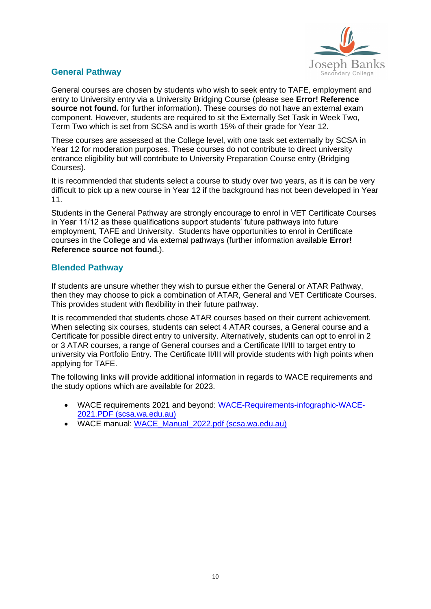

### **General Pathway**

General courses are chosen by students who wish to seek entry to TAFE, employment and entry to University entry via a University Bridging Course (please see **Error! Reference source not found.** for further information). These courses do not have an external exam component. However, students are required to sit the Externally Set Task in Week Two, Term Two which is set from SCSA and is worth 15% of their grade for Year 12.

These courses are assessed at the College level, with one task set externally by SCSA in Year 12 for moderation purposes. These courses do not contribute to direct university entrance eligibility but will contribute to University Preparation Course entry (Bridging Courses).

It is recommended that students select a course to study over two years, as it is can be very difficult to pick up a new course in Year 12 if the background has not been developed in Year 11.

Students in the General Pathway are strongly encourage to enrol in VET Certificate Courses in Year 11/12 as these qualifications support students' future pathways into future employment, TAFE and University. Students have opportunities to enrol in Certificate courses in the College and via external pathways (further information available **Error! Reference source not found.**).

### **Blended Pathway**

If students are unsure whether they wish to pursue either the General or ATAR Pathway, then they may choose to pick a combination of ATAR, General and VET Certificate Courses. This provides student with flexibility in their future pathway.

It is recommended that students chose ATAR courses based on their current achievement. When selecting six courses, students can select 4 ATAR courses, a General course and a Certificate for possible direct entry to university. Alternatively, students can opt to enrol in 2 or 3 ATAR courses, a range of General courses and a Certificate II/III to target entry to university via Portfolio Entry. The Certificate II/III will provide students with high points when applying for TAFE.

The following links will provide additional information in regards to WACE requirements and the study options which are available for 2023.

- WACE requirements 2021 and beyond: [WACE-Requirements-infographic-WACE-](https://aus01.safelinks.protection.outlook.com/?url=https%3A%2F%2Fsenior-secondary.scsa.wa.edu.au%2F__data%2Fassets%2Fpdf_file%2F0014%2F560111%2FWACE-Requirements-infographic-WACE-2021.PDF&data=05%7C01%7CTaylor.Jones%40education.wa.edu.au%7Cdff2ce8707b34edc0a6708da3c63e457%7Ce08016f9d1fd4cbb83b0b76eb4361627%7C0%7C0%7C637888696965265998%7CUnknown%7CTWFpbGZsb3d8eyJWIjoiMC4wLjAwMDAiLCJQIjoiV2luMzIiLCJBTiI6Ik1haWwiLCJXVCI6Mn0%3D%7C3000%7C%7C%7C&sdata=bPS6eT9I%2B775mEv3pTJb6r%2FuYhBTfzG6PAPhMu6npbg%3D&reserved=0)[2021.PDF \(scsa.wa.edu.au\)](https://aus01.safelinks.protection.outlook.com/?url=https%3A%2F%2Fsenior-secondary.scsa.wa.edu.au%2F__data%2Fassets%2Fpdf_file%2F0014%2F560111%2FWACE-Requirements-infographic-WACE-2021.PDF&data=05%7C01%7CTaylor.Jones%40education.wa.edu.au%7Cdff2ce8707b34edc0a6708da3c63e457%7Ce08016f9d1fd4cbb83b0b76eb4361627%7C0%7C0%7C637888696965265998%7CUnknown%7CTWFpbGZsb3d8eyJWIjoiMC4wLjAwMDAiLCJQIjoiV2luMzIiLCJBTiI6Ik1haWwiLCJXVCI6Mn0%3D%7C3000%7C%7C%7C&sdata=bPS6eT9I%2B775mEv3pTJb6r%2FuYhBTfzG6PAPhMu6npbg%3D&reserved=0)
- WACE manual: [WACE\\_Manual\\_2022.pdf \(scsa.wa.edu.au\)](https://aus01.safelinks.protection.outlook.com/?url=https%3A%2F%2Fwww.scsa.wa.edu.au%2F__data%2Fassets%2Fpdf_file%2F0003%2F842583%2FWACE_Manual_2022.pdf&data=05%7C01%7CTaylor.Jones%40education.wa.edu.au%7Cdff2ce8707b34edc0a6708da3c63e457%7Ce08016f9d1fd4cbb83b0b76eb4361627%7C0%7C0%7C637888696965265998%7CUnknown%7CTWFpbGZsb3d8eyJWIjoiMC4wLjAwMDAiLCJQIjoiV2luMzIiLCJBTiI6Ik1haWwiLCJXVCI6Mn0%3D%7C3000%7C%7C%7C&sdata=i95gw%2Bi1o4FjHicqxNp7rl6o4Dx%2FaEb3nX0Y5TDfc6w%3D&reserved=0)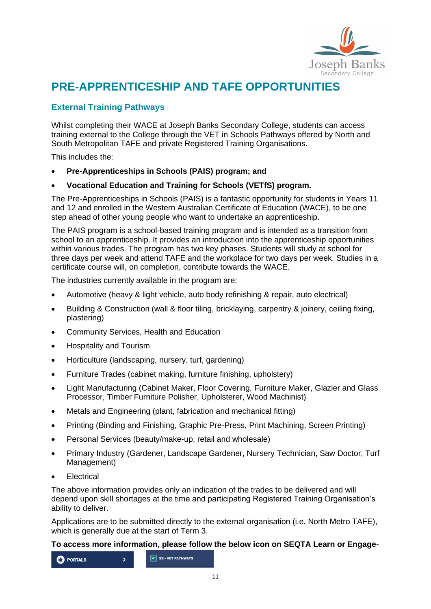

# **PRE-APPRENTICESHIP AND TAFE OPPORTUNITIES**

# **External Training Pathways**

Whilst completing their WACE at Joseph Banks Secondary College, students can access training external to the College through the VET in Schools Pathways offered by North and South Metropolitan TAFE and private Registered Training Organisations.

This includes the:

- **Pre-Apprenticeships in Schools (PAIS) program; and**
- **Vocational Education and Training for Schools (VETfS) program.**

The Pre-Apprenticeships in Schools (PAIS) is a fantastic opportunity for students in Years 11 and 12 and enrolled in the Western Australian Certificate of Education (WACE), to be one step ahead of other young people who want to undertake an apprenticeship.

The PAIS program is a school-based training program and is intended as a transition from school to an apprenticeship. It provides an introduction into the apprenticeship opportunities within various trades. The program has two key phases. Students will study at school for three days per week and attend TAFE and the workplace for two days per week. Studies in a certificate course will, on completion, contribute towards the WACE.

The industries currently available in the program are:

- Automotive (heavy & light vehicle, auto body refinishing & repair, auto electrical)
- Building & Construction (wall & floor tiling, bricklaying, carpentry & joinery, ceiling fixing, plastering)
- Community Services, Health and Education
- Hospitality and Tourism
- Horticulture (landscaping, nursery, turf, gardening)
- Furniture Trades (cabinet making, furniture finishing, upholstery)
- Light Manufacturing (Cabinet Maker, Floor Covering, Furniture Maker, Glazier and Glass Processor, Timber Furniture Polisher, Upholsterer, Wood Machinist)
- Metals and Engineering (plant, fabrication and mechanical fitting)
- Printing (Binding and Finishing, Graphic Pre-Press, Print Machining, Screen Printing)
- Personal Services (beauty/make-up, retail and wholesale)
- Primary Industry (Gardener, Landscape Gardener, Nursery Technician, Saw Doctor, Turf Management)
- **Electrical**

The above information provides only an indication of the trades to be delivered and will depend upon skill shortages at the time and participating Registered Training Organisation's ability to deliver.

Applications are to be submitted directly to the external organisation (i.e. North Metro TAFE), which is generally due at the start of Term 3.

#### **To access more information, please follow the below icon on SEQTA Learn or Engage-**

VET SS - VET PATHWAYS **C** PORTALS  $\overline{\phantom{a}}$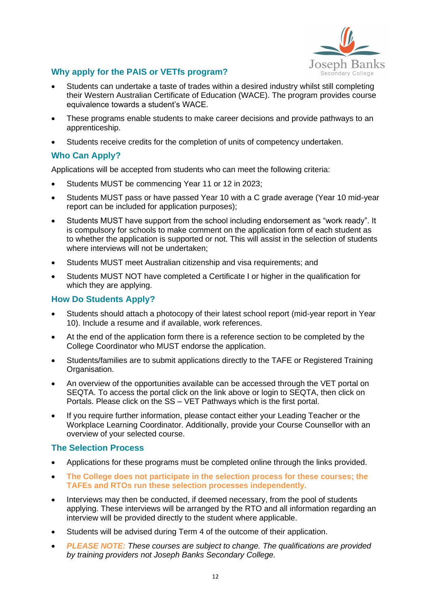

# **Why apply for the PAIS or VETfs program?**

- Students can undertake a taste of trades within a desired industry whilst still completing their Western Australian Certificate of Education (WACE). The program provides course equivalence towards a student's WACE.
- These programs enable students to make career decisions and provide pathways to an apprenticeship.
- Students receive credits for the completion of units of competency undertaken.

### **Who Can Apply?**

Applications will be accepted from students who can meet the following criteria:

- Students MUST be commencing Year 11 or 12 in 2023;
- Students MUST pass or have passed Year 10 with a C grade average (Year 10 mid-year report can be included for application purposes);
- Students MUST have support from the school including endorsement as "work ready". It is compulsory for schools to make comment on the application form of each student as to whether the application is supported or not. This will assist in the selection of students where interviews will not be undertaken;
- Students MUST meet Australian citizenship and visa requirements; and
- Students MUST NOT have completed a Certificate I or higher in the qualification for which they are applying.

### **How Do Students Apply?**

- Students should attach a photocopy of their latest school report (mid-year report in Year 10). Include a resume and if available, work references.
- At the end of the application form there is a reference section to be completed by the College Coordinator who MUST endorse the application.
- Students/families are to submit applications directly to the TAFE or Registered Training Organisation.
- An overview of the opportunities available can be accessed through the VET portal on SEQTA. To access the portal click on the link above or login to SEQTA, then click on Portals. Please click on the SS – VET Pathways which is the first portal.
- If you require further information, please contact either your Leading Teacher or the Workplace Learning Coordinator. Additionally, provide your Course Counsellor with an overview of your selected course.

### **The Selection Process**

- Applications for these programs must be completed online through the links provided.
- **The College does not participate in the selection process for these courses; the TAFEs and RTOs run these selection processes independently.**
- Interviews may then be conducted, if deemed necessary, from the pool of students applying. These interviews will be arranged by the RTO and all information regarding an interview will be provided directly to the student where applicable.
- Students will be advised during Term 4 of the outcome of their application.
- *PLEASE NOTE: These courses are subject to change. The qualifications are provided by training providers not Joseph Banks Secondary College.*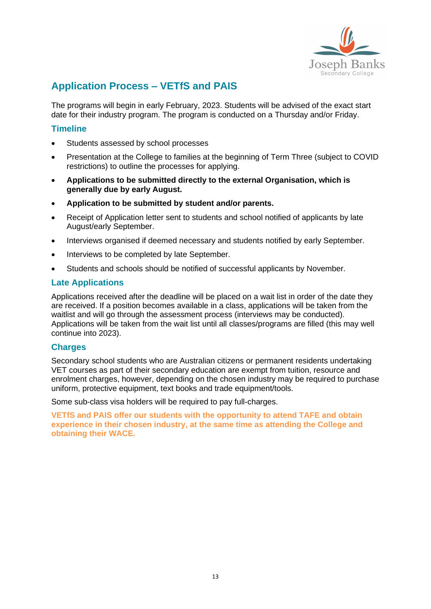

# **Application Process – VETfS and PAIS**

The programs will begin in early February, 2023. Students will be advised of the exact start date for their industry program. The program is conducted on a Thursday and/or Friday.

#### **Timeline**

- Students assessed by school processes
- Presentation at the College to families at the beginning of Term Three (subject to COVID restrictions) to outline the processes for applying.
- **Applications to be submitted directly to the external Organisation, which is generally due by early August.**
- **Application to be submitted by student and/or parents.**
- Receipt of Application letter sent to students and school notified of applicants by late August/early September.
- Interviews organised if deemed necessary and students notified by early September.
- Interviews to be completed by late September.
- Students and schools should be notified of successful applicants by November.

#### **Late Applications**

Applications received after the deadline will be placed on a wait list in order of the date they are received. If a position becomes available in a class, applications will be taken from the waitlist and will go through the assessment process (interviews may be conducted). Applications will be taken from the wait list until all classes/programs are filled (this may well continue into 2023).

#### **Charges**

Secondary school students who are Australian citizens or permanent residents undertaking VET courses as part of their secondary education are exempt from tuition, resource and enrolment charges, however, depending on the chosen industry may be required to purchase uniform, protective equipment, text books and trade equipment/tools.

Some sub-class visa holders will be required to pay full-charges.

**VETfS and PAIS offer our students with the opportunity to attend TAFE and obtain experience in their chosen industry, at the same time as attending the College and obtaining their WACE.**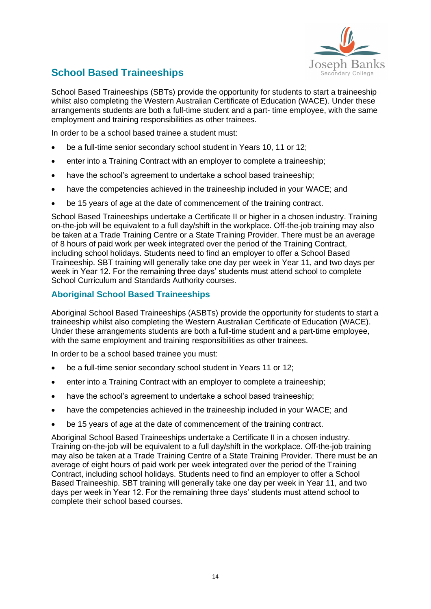

# **School Based Traineeships**

School Based Traineeships (SBTs) provide the opportunity for students to start a traineeship whilst also completing the Western Australian Certificate of Education (WACE). Under these arrangements students are both a full-time student and a part- time employee, with the same employment and training responsibilities as other trainees.

In order to be a school based trainee a student must:

- be a full-time senior secondary school student in Years 10, 11 or 12:
- enter into a Training Contract with an employer to complete a traineeship;
- have the school's agreement to undertake a school based traineeship;
- have the competencies achieved in the traineeship included in your WACE; and
- be 15 years of age at the date of commencement of the training contract.

School Based Traineeships undertake a Certificate II or higher in a chosen industry. Training on-the-job will be equivalent to a full day/shift in the workplace. Off-the-job training may also be taken at a Trade Training Centre or a State Training Provider. There must be an average of 8 hours of paid work per week integrated over the period of the Training Contract, including school holidays. Students need to find an employer to offer a School Based Traineeship. SBT training will generally take one day per week in Year 11, and two days per week in Year 12. For the remaining three days' students must attend school to complete School Curriculum and Standards Authority courses.

### **Aboriginal School Based Traineeships**

Aboriginal School Based Traineeships (ASBTs) provide the opportunity for students to start a traineeship whilst also completing the Western Australian Certificate of Education (WACE). Under these arrangements students are both a full-time student and a part-time employee, with the same employment and training responsibilities as other trainees.

In order to be a school based trainee you must:

- be a full-time senior secondary school student in Years 11 or 12;
- enter into a Training Contract with an employer to complete a traineeship:
- have the school's agreement to undertake a school based traineeship:
- have the competencies achieved in the traineeship included in your WACE; and
- be 15 years of age at the date of commencement of the training contract.

Aboriginal School Based Traineeships undertake a Certificate II in a chosen industry. Training on-the-job will be equivalent to a full day/shift in the workplace. Off-the-job training may also be taken at a Trade Training Centre of a State Training Provider. There must be an average of eight hours of paid work per week integrated over the period of the Training Contract, including school holidays. Students need to find an employer to offer a School Based Traineeship. SBT training will generally take one day per week in Year 11, and two days per week in Year 12. For the remaining three days' students must attend school to complete their school based courses.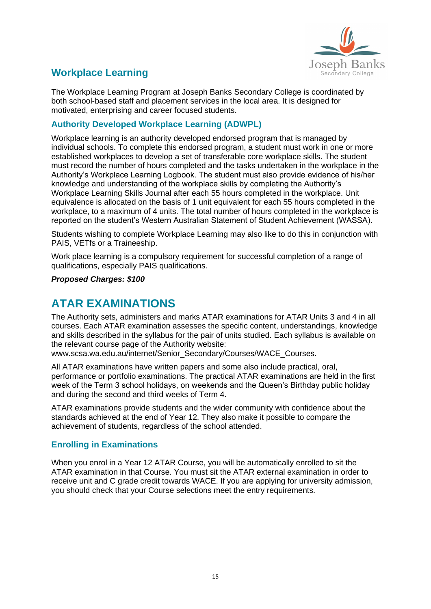

# **Workplace Learning**

The Workplace Learning Program at Joseph Banks Secondary College is coordinated by both school-based staff and placement services in the local area. It is designed for motivated, enterprising and career focused students.

### **Authority Developed Workplace Learning (ADWPL)**

Workplace learning is an authority developed endorsed program that is managed by individual schools. To complete this endorsed program, a student must work in one or more established workplaces to develop a set of transferable core workplace skills. The student must record the number of hours completed and the tasks undertaken in the workplace in the Authority's Workplace Learning Logbook. The student must also provide evidence of his/her knowledge and understanding of the workplace skills by completing the Authority's Workplace Learning Skills Journal after each 55 hours completed in the workplace. Unit equivalence is allocated on the basis of 1 unit equivalent for each 55 hours completed in the workplace, to a maximum of 4 units. The total number of hours completed in the workplace is reported on the student's Western Australian Statement of Student Achievement (WASSA).

Students wishing to complete Workplace Learning may also like to do this in conjunction with PAIS, VETfs or a Traineeship.

Work place learning is a compulsory requirement for successful completion of a range of qualifications, especially PAIS qualifications.

*Proposed Charges: \$100*

# **ATAR EXAMINATIONS**

The Authority sets, administers and marks ATAR examinations for ATAR Units 3 and 4 in all courses. Each ATAR examination assesses the specific content, understandings, knowledge and skills described in the syllabus for the pair of units studied. Each syllabus is available on the relevant course page of the Authority website:

www.scsa.wa.edu.au/internet/Senior\_Secondary/Courses/WACE\_Courses.

All ATAR examinations have written papers and some also include practical, oral, performance or portfolio examinations. The practical ATAR examinations are held in the first week of the Term 3 school holidays, on weekends and the Queen's Birthday public holiday and during the second and third weeks of Term 4.

ATAR examinations provide students and the wider community with confidence about the standards achieved at the end of Year 12. They also make it possible to compare the achievement of students, regardless of the school attended.

### **Enrolling in Examinations**

When you enrol in a Year 12 ATAR Course, you will be automatically enrolled to sit the ATAR examination in that Course. You must sit the ATAR external examination in order to receive unit and C grade credit towards WACE. If you are applying for university admission, you should check that your Course selections meet the entry requirements.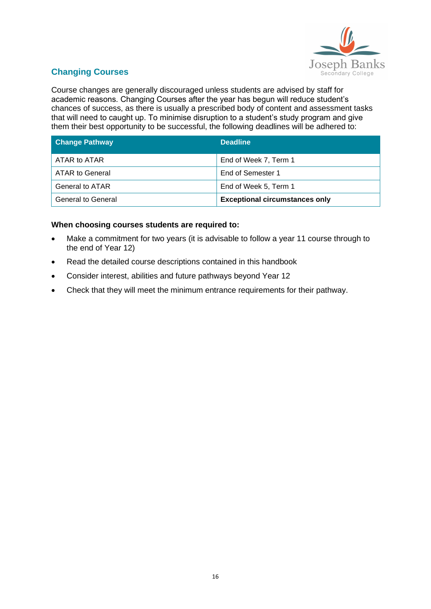

# **Changing Courses**

Course changes are generally discouraged unless students are advised by staff for academic reasons. Changing Courses after the year has begun will reduce student's chances of success, as there is usually a prescribed body of content and assessment tasks that will need to caught up. To minimise disruption to a student's study program and give them their best opportunity to be successful, the following deadlines will be adhered to:

| <b>Change Pathway</b>     | <b>Deadline</b>                       |
|---------------------------|---------------------------------------|
| ATAR to ATAR              | End of Week 7, Term 1                 |
| ATAR to General           | End of Semester 1                     |
| <b>General to ATAR</b>    | End of Week 5, Term 1                 |
| <b>General to General</b> | <b>Exceptional circumstances only</b> |

#### **When choosing courses students are required to:**

- Make a commitment for two years (it is advisable to follow a year 11 course through to the end of Year 12)
- Read the detailed course descriptions contained in this handbook
- Consider interest, abilities and future pathways beyond Year 12
- Check that they will meet the minimum entrance requirements for their pathway.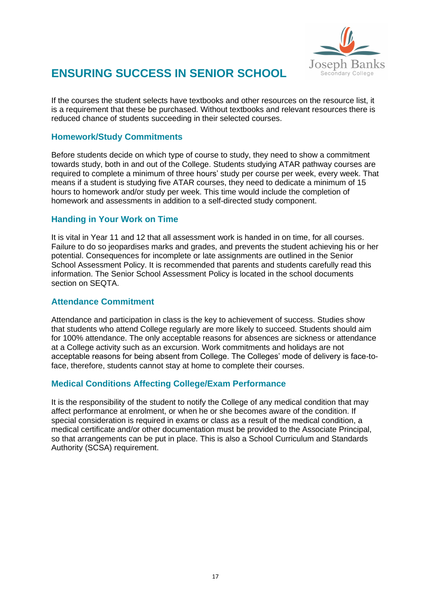

# **ENSURING SUCCESS IN SENIOR SCHOOL**

If the courses the student selects have textbooks and other resources on the resource list, it is a requirement that these be purchased. Without textbooks and relevant resources there is reduced chance of students succeeding in their selected courses.

### **Homework/Study Commitments**

Before students decide on which type of course to study, they need to show a commitment towards study, both in and out of the College. Students studying ATAR pathway courses are required to complete a minimum of three hours' study per course per week, every week. That means if a student is studying five ATAR courses, they need to dedicate a minimum of 15 hours to homework and/or study per week. This time would include the completion of homework and assessments in addition to a self-directed study component.

### **Handing in Your Work on Time**

It is vital in Year 11 and 12 that all assessment work is handed in on time, for all courses. Failure to do so jeopardises marks and grades, and prevents the student achieving his or her potential. Consequences for incomplete or late assignments are outlined in the Senior School Assessment Policy. It is recommended that parents and students carefully read this information. The Senior School Assessment Policy is located in the school documents section on SEQTA.

### **Attendance Commitment**

Attendance and participation in class is the key to achievement of success. Studies show that students who attend College regularly are more likely to succeed. Students should aim for 100% attendance. The only acceptable reasons for absences are sickness or attendance at a College activity such as an excursion. Work commitments and holidays are not acceptable reasons for being absent from College. The Colleges' mode of delivery is face-toface, therefore, students cannot stay at home to complete their courses.

### **Medical Conditions Affecting College/Exam Performance**

It is the responsibility of the student to notify the College of any medical condition that may affect performance at enrolment, or when he or she becomes aware of the condition. If special consideration is required in exams or class as a result of the medical condition, a medical certificate and/or other documentation must be provided to the Associate Principal, so that arrangements can be put in place. This is also a School Curriculum and Standards Authority (SCSA) requirement.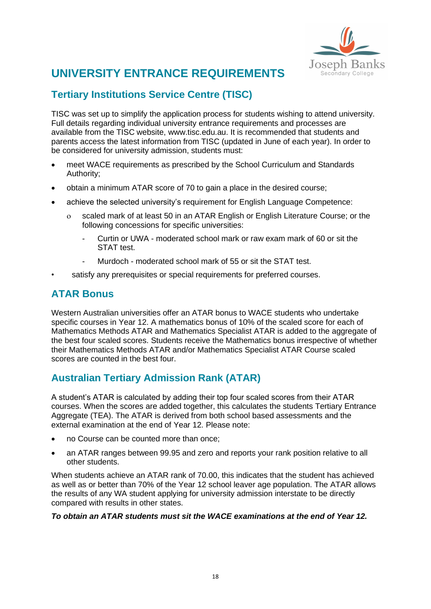

# **UNIVERSITY ENTRANCE REQUIREMENTS**

# **Tertiary Institutions Service Centre (TISC)**

TISC was set up to simplify the application process for students wishing to attend university. Full details regarding individual university entrance requirements and processes are available from the TISC website, www.tisc.edu.au. It is recommended that students and parents access the latest information from TISC (updated in June of each year). In order to be considered for university admission, students must:

- meet WACE requirements as prescribed by the School Curriculum and Standards Authority;
- obtain a minimum ATAR score of 70 to gain a place in the desired course;
- achieve the selected university's requirement for English Language Competence:
	- scaled mark of at least 50 in an ATAR English or English Literature Course; or the following concessions for specific universities:
		- Curtin or UWA moderated school mark or raw exam mark of 60 or sit the STAT test.
		- Murdoch moderated school mark of 55 or sit the STAT test.
- satisfy any prerequisites or special requirements for preferred courses.

# **ATAR Bonus**

Western Australian universities offer an ATAR bonus to WACE students who undertake specific courses in Year 12. A mathematics bonus of 10% of the scaled score for each of Mathematics Methods ATAR and Mathematics Specialist ATAR is added to the aggregate of the best four scaled scores. Students receive the Mathematics bonus irrespective of whether their Mathematics Methods ATAR and/or Mathematics Specialist ATAR Course scaled scores are counted in the best four.

# **Australian Tertiary Admission Rank (ATAR)**

A student's ATAR is calculated by adding their top four scaled scores from their ATAR courses. When the scores are added together, this calculates the students Tertiary Entrance Aggregate (TEA). The ATAR is derived from both school based assessments and the external examination at the end of Year 12. Please note:

- no Course can be counted more than once;
- an ATAR ranges between 99.95 and zero and reports your rank position relative to all other students.

When students achieve an ATAR rank of 70.00, this indicates that the student has achieved as well as or better than 70% of the Year 12 school leaver age population. The ATAR allows the results of any WA student applying for university admission interstate to be directly compared with results in other states.

#### *To obtain an ATAR students must sit the WACE examinations at the end of Year 12.*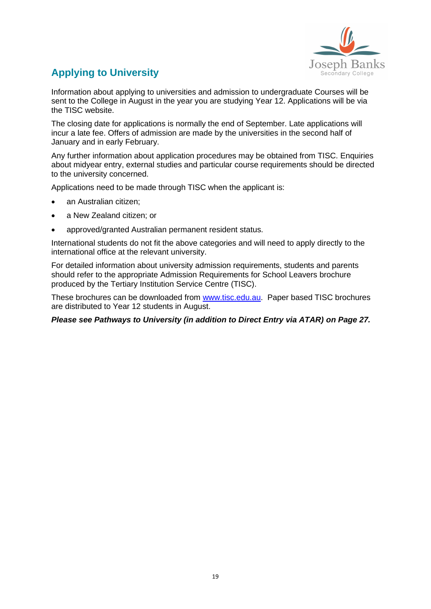

# **Applying to University**

Information about applying to universities and admission to undergraduate Courses will be sent to the College in August in the year you are studying Year 12. Applications will be via the TISC website.

The closing date for applications is normally the end of September. Late applications will incur a late fee. Offers of admission are made by the universities in the second half of January and in early February.

Any further information about application procedures may be obtained from TISC. Enquiries about midyear entry, external studies and particular course requirements should be directed to the university concerned.

Applications need to be made through TISC when the applicant is:

- an Australian citizen;
- a New Zealand citizen; or
- approved/granted Australian permanent resident status.

International students do not fit the above categories and will need to apply directly to the international office at the relevant university.

For detailed information about university admission requirements, students and parents should refer to the appropriate Admission Requirements for School Leavers brochure produced by the Tertiary Institution Service Centre (TISC).

These brochures can be downloaded from [www.tisc.edu.au.](http://www.tisc.edu.au/) Paper based TISC brochures are distributed to Year 12 students in August.

*Please see Pathways to University (in addition to Direct Entry via ATAR) on Page 27.*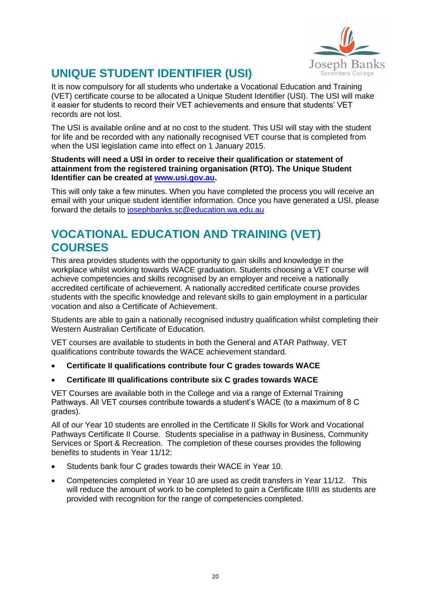

# **UNIQUE STUDENT IDENTIFIER (USI)**

It is now compulsory for all students who undertake a Vocational Education and Training (VET) certificate course to be allocated a Unique Student Identifier (USI). The USI will make it easier for students to record their VET achievements and ensure that students' VET records are not lost.

The USI is available online and at no cost to the student. This USI will stay with the student for life and be recorded with any nationally recognised VET course that is completed from when the USI legislation came into effect on 1 January 2015.

#### **Students will need a USI in order to receive their qualification or statement of attainment from the registered training organisation (RTO). The Unique Student Identifier can be created at [www.usi.gov.au.](http://www.usi.gov.au/)**

This will only take a few minutes. When you have completed the process you will receive an email with your unique student identifier information. Once you have generated a USI, please forward the details to [josephbanks.sc@education.wa.edu.au](mailto:josephbanks.sc@education.wa.edu.au)

# **VOCATIONAL EDUCATION AND TRAINING (VET) COURSES**

This area provides students with the opportunity to gain skills and knowledge in the workplace whilst working towards WACE graduation. Students choosing a VET course will achieve competencies and skills recognised by an employer and receive a nationally accredited certificate of achievement. A nationally accredited certificate course provides students with the specific knowledge and relevant skills to gain employment in a particular vocation and also a Certificate of Achievement.

Students are able to gain a nationally recognised industry qualification whilst completing their Western Australian Certificate of Education.

VET courses are available to students in both the General and ATAR Pathway. VET qualifications contribute towards the WACE achievement standard.

- **Certificate II qualifications contribute four C grades towards WACE**
- **Certificate III qualifications contribute six C grades towards WACE**

VET Courses are available both in the College and via a range of External Training Pathways. All VET courses contribute towards a student's WACE (to a maximum of 8 C grades).

All of our Year 10 students are enrolled in the Certificate II Skills for Work and Vocational Pathways Certificate II Course. Students specialise in a pathway in Business, Community Services or Sport & Recreation. The completion of these courses provides the following benefits to students in Year 11/12:

- Students bank four C grades towards their WACE in Year 10.
- Competencies completed in Year 10 are used as credit transfers in Year 11/12. This will reduce the amount of work to be completed to gain a Certificate II/III as students are provided with recognition for the range of competencies completed.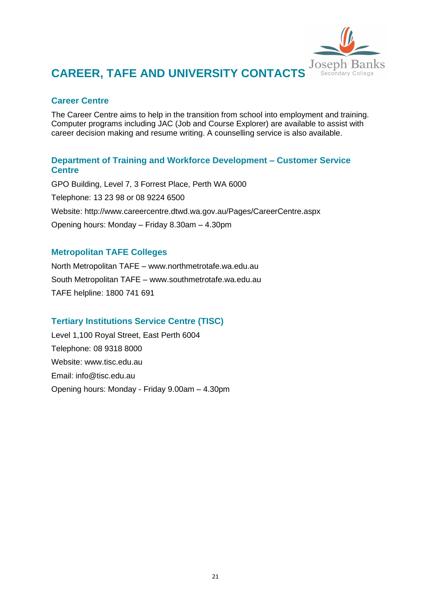

# **CAREER, TAFE AND UNIVERSITY CONTACTS**

### **Career Centre**

The Career Centre aims to help in the transition from school into employment and training. Computer programs including JAC (Job and Course Explorer) are available to assist with career decision making and resume writing. A counselling service is also available.

### **Department of Training and Workforce Development – Customer Service Centre**

GPO Building, Level 7, 3 Forrest Place, Perth WA 6000 Telephone: 13 23 98 or 08 9224 6500 Website: http://www.careercentre.dtwd.wa.gov.au/Pages/CareerCentre.aspx Opening hours: Monday – Friday 8.30am – 4.30pm

### **Metropolitan TAFE Colleges**

North Metropolitan TAFE – www.northmetrotafe.wa.edu.au South Metropolitan TAFE – www.southmetrotafe.wa.edu.au TAFE helpline: 1800 741 691

### **Tertiary Institutions Service Centre (TISC)**

Level 1,100 Royal Street, East Perth 6004 Telephone: 08 9318 8000 Website: www.tisc.edu.au Email: info@tisc.edu.au Opening hours: Monday - Friday 9.00am – 4.30pm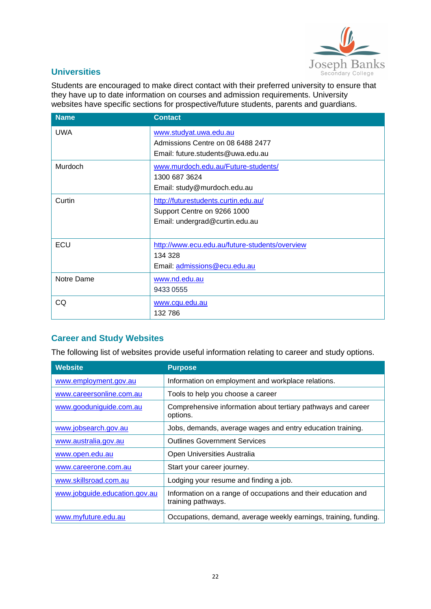

### **Universities**

Students are encouraged to make direct contact with their preferred university to ensure that they have up to date information on courses and admission requirements. University websites have specific sections for prospective/future students, parents and guardians.

| <b>Name</b> | <b>Contact</b>                                                         |
|-------------|------------------------------------------------------------------------|
| <b>UWA</b>  | www.studyat.uwa.edu.au                                                 |
|             | Admissions Centre on 08 6488 2477<br>Email: future.students@uwa.edu.au |
|             |                                                                        |
| Murdoch     | www.murdoch.edu.au/Future-students/<br>1300 687 3624                   |
|             | Email: study@murdoch.edu.au                                            |
| Curtin      | http://futurestudents.curtin.edu.au/                                   |
|             | Support Centre on 9266 1000                                            |
|             | Email: undergrad@curtin.edu.au                                         |
|             |                                                                        |
| ECU         | http://www.ecu.edu.au/future-students/overview                         |
|             | 134 328                                                                |
|             | Email: admissions@ecu.edu.au                                           |
| Notre Dame  | www.nd.edu.au                                                          |
|             | 9433 0555                                                              |
| CQ          | www.cqu.edu.au                                                         |
|             | 132 786                                                                |

# **Career and Study Websites**

The following list of websites provide useful information relating to career and study options.

| <b>Website</b>                | <b>Purpose</b>                                                                      |
|-------------------------------|-------------------------------------------------------------------------------------|
| www.employment.gov.au         | Information on employment and workplace relations.                                  |
| www.careersonline.com.au      | Tools to help you choose a career                                                   |
| www.gooduniguide.com.au       | Comprehensive information about tertiary pathways and career<br>options.            |
| www.jobsearch.gov.au          | Jobs, demands, average wages and entry education training.                          |
| www.australia.gov.au          | <b>Outlines Government Services</b>                                                 |
| www.open.edu.au               | Open Universities Australia                                                         |
| www.careerone.com.au          | Start your career journey.                                                          |
| www.skillsroad.com.au         | Lodging your resume and finding a job.                                              |
| www.jobguide.education.gov.au | Information on a range of occupations and their education and<br>training pathways. |
| www.myfuture.edu.au           | Occupations, demand, average weekly earnings, training, funding.                    |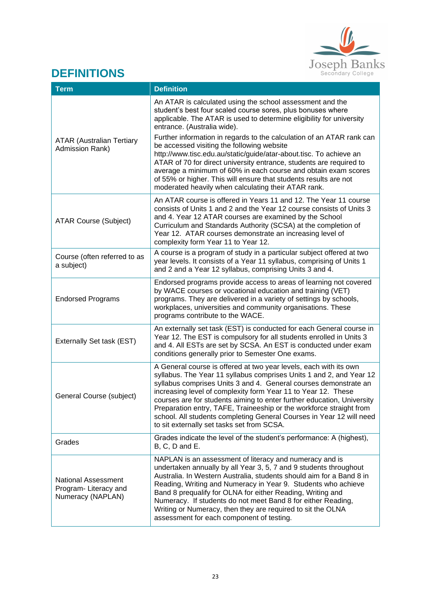

# **DEFINITIONS**

| <b>Term</b>                                                       | <b>Definition</b>                                                                                                                                                                                                                                                                                                                                                                                                                                                                                                                                    |
|-------------------------------------------------------------------|------------------------------------------------------------------------------------------------------------------------------------------------------------------------------------------------------------------------------------------------------------------------------------------------------------------------------------------------------------------------------------------------------------------------------------------------------------------------------------------------------------------------------------------------------|
|                                                                   | An ATAR is calculated using the school assessment and the<br>student's best four scaled course sores, plus bonuses where<br>applicable. The ATAR is used to determine eligibility for university<br>entrance. (Australia wide).                                                                                                                                                                                                                                                                                                                      |
| <b>ATAR (Australian Tertiary</b><br>Admission Rank)               | Further information in regards to the calculation of an ATAR rank can<br>be accessed visiting the following website<br>http://www.tisc.edu.au/static/guide/atar-about.tisc. To achieve an<br>ATAR of 70 for direct university entrance, students are required to<br>average a minimum of 60% in each course and obtain exam scores<br>of 55% or higher. This will ensure that students results are not<br>moderated heavily when calculating their ATAR rank.                                                                                        |
| <b>ATAR Course (Subject)</b>                                      | An ATAR course is offered in Years 11 and 12. The Year 11 course<br>consists of Units 1 and 2 and the Year 12 course consists of Units 3<br>and 4. Year 12 ATAR courses are examined by the School<br>Curriculum and Standards Authority (SCSA) at the completion of<br>Year 12. ATAR courses demonstrate an increasing level of<br>complexity form Year 11 to Year 12.                                                                                                                                                                              |
| Course (often referred to as<br>a subject)                        | A course is a program of study in a particular subject offered at two<br>year levels. It consists of a Year 11 syllabus, comprising of Units 1<br>and 2 and a Year 12 syllabus, comprising Units 3 and 4.                                                                                                                                                                                                                                                                                                                                            |
| <b>Endorsed Programs</b>                                          | Endorsed programs provide access to areas of learning not covered<br>by WACE courses or vocational education and training (VET)<br>programs. They are delivered in a variety of settings by schools,<br>workplaces, universities and community organisations. These<br>programs contribute to the WACE.                                                                                                                                                                                                                                              |
| Externally Set task (EST)                                         | An externally set task (EST) is conducted for each General course in<br>Year 12. The EST is compulsory for all students enrolled in Units 3<br>and 4. All ESTs are set by SCSA. An EST is conducted under exam<br>conditions generally prior to Semester One exams.                                                                                                                                                                                                                                                                                  |
| General Course (subject)                                          | A General course is offered at two year levels, each with its own<br>syllabus. The Year 11 syllabus comprises Units 1 and 2, and Year 12<br>syllabus comprises Units 3 and 4. General courses demonstrate an<br>increasing level of complexity form Year 11 to Year 12. These<br>courses are for students aiming to enter further education, University<br>Preparation entry, TAFE, Traineeship or the workforce straight from<br>school. All students completing General Courses in Year 12 will need<br>to sit externally set tasks set from SCSA. |
| Grades                                                            | Grades indicate the level of the student's performance: A (highest),<br>B, C, D and E.                                                                                                                                                                                                                                                                                                                                                                                                                                                               |
| National Assessment<br>Program- Literacy and<br>Numeracy (NAPLAN) | NAPLAN is an assessment of literacy and numeracy and is<br>undertaken annually by all Year 3, 5, 7 and 9 students throughout<br>Australia. In Western Australia, students should aim for a Band 8 in<br>Reading, Writing and Numeracy in Year 9. Students who achieve<br>Band 8 prequalify for OLNA for either Reading, Writing and<br>Numeracy. If students do not meet Band 8 for either Reading,<br>Writing or Numeracy, then they are required to sit the OLNA<br>assessment for each component of testing.                                      |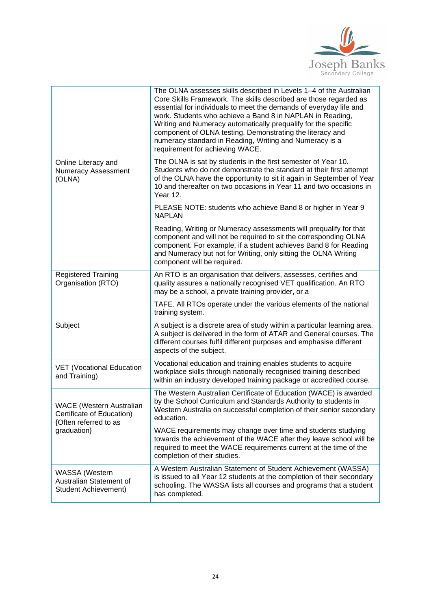

|                                                                                       | The OLNA assesses skills described in Levels 1-4 of the Australian<br>Core Skills Framework. The skills described are those regarded as<br>essential for individuals to meet the demands of everyday life and<br>work. Students who achieve a Band 8 in NAPLAN in Reading,<br>Writing and Numeracy automatically prequalify for the specific<br>component of OLNA testing. Demonstrating the literacy and<br>numeracy standard in Reading, Writing and Numeracy is a<br>requirement for achieving WACE. |  |  |  |  |  |
|---------------------------------------------------------------------------------------|---------------------------------------------------------------------------------------------------------------------------------------------------------------------------------------------------------------------------------------------------------------------------------------------------------------------------------------------------------------------------------------------------------------------------------------------------------------------------------------------------------|--|--|--|--|--|
| Online Literacy and<br><b>Numeracy Assessment</b><br>(OLNA)                           | The OLNA is sat by students in the first semester of Year 10.<br>Students who do not demonstrate the standard at their first attempt<br>of the OLNA have the opportunity to sit it again in September of Year<br>10 and thereafter on two occasions in Year 11 and two occasions in<br>Year 12.                                                                                                                                                                                                         |  |  |  |  |  |
|                                                                                       | PLEASE NOTE: students who achieve Band 8 or higher in Year 9<br><b>NAPLAN</b>                                                                                                                                                                                                                                                                                                                                                                                                                           |  |  |  |  |  |
|                                                                                       | Reading, Writing or Numeracy assessments will prequalify for that<br>component and will not be required to sit the corresponding OLNA<br>component. For example, if a student achieves Band 8 for Reading<br>and Numeracy but not for Writing, only sitting the OLNA Writing<br>component will be required.                                                                                                                                                                                             |  |  |  |  |  |
| <b>Registered Training</b><br>Organisation (RTO)                                      | An RTO is an organisation that delivers, assesses, certifies and<br>quality assures a nationally recognised VET qualification. An RTO<br>may be a school, a private training provider, or a                                                                                                                                                                                                                                                                                                             |  |  |  |  |  |
|                                                                                       | TAFE. All RTOs operate under the various elements of the national<br>training system.                                                                                                                                                                                                                                                                                                                                                                                                                   |  |  |  |  |  |
| Subject                                                                               | A subject is a discrete area of study within a particular learning area.<br>A subject is delivered in the form of ATAR and General courses. The<br>different courses fulfil different purposes and emphasise different<br>aspects of the subject.                                                                                                                                                                                                                                                       |  |  |  |  |  |
| <b>VET (Vocational Education</b><br>and Training)                                     | Vocational education and training enables students to acquire<br>workplace skills through nationally recognised training described<br>within an industry developed training package or accredited course.                                                                                                                                                                                                                                                                                               |  |  |  |  |  |
| <b>WACE</b> (Western Australian<br>Certificate of Education)<br>{Often referred to as | The Western Australian Certificate of Education (WACE) is awarded<br>by the School Curriculum and Standards Authority to students in<br>Western Australia on successful completion of their senior secondary<br>education.                                                                                                                                                                                                                                                                              |  |  |  |  |  |
| graduation}                                                                           | WACE requirements may change over time and students studying<br>towards the achievement of the WACE after they leave school will be<br>required to meet the WACE requirements current at the time of the<br>completion of their studies.                                                                                                                                                                                                                                                                |  |  |  |  |  |
| <b>WASSA</b> (Western<br>Australian Statement of<br>Student Achievement)              | A Western Australian Statement of Student Achievement (WASSA)<br>is issued to all Year 12 students at the completion of their secondary<br>schooling. The WASSA lists all courses and programs that a student<br>has completed.                                                                                                                                                                                                                                                                         |  |  |  |  |  |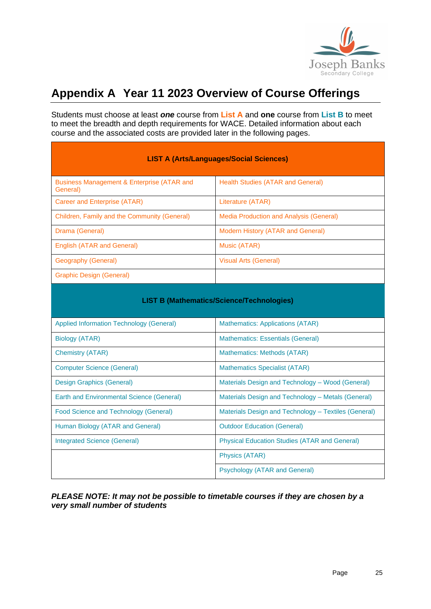

# <span id="page-24-0"></span>**Appendix A Year 11 2023 Overview of Course Offerings**

Students must choose at least *one* course from **List A** and **one** course from **List B** to meet to meet the breadth and depth requirements for WACE. Detailed information about each course and the associated costs are provided later in the following pages.

| <b>LIST A (Arts/Languages/Social Sciences)</b>                    |                                                      |  |  |  |  |  |  |
|-------------------------------------------------------------------|------------------------------------------------------|--|--|--|--|--|--|
| <b>Business Management &amp; Enterprise (ATAR and</b><br>General) | <b>Health Studies (ATAR and General)</b>             |  |  |  |  |  |  |
| <b>Career and Enterprise (ATAR)</b>                               | Literature (ATAR)                                    |  |  |  |  |  |  |
| Children, Family and the Community (General)                      | <b>Media Production and Analysis (General)</b>       |  |  |  |  |  |  |
| Drama (General)                                                   | Modern History (ATAR and General)                    |  |  |  |  |  |  |
| <b>English (ATAR and General)</b>                                 | Music (ATAR)                                         |  |  |  |  |  |  |
| Geography (General)                                               | <b>Visual Arts (General)</b>                         |  |  |  |  |  |  |
| <b>Graphic Design (General)</b>                                   |                                                      |  |  |  |  |  |  |
| <b>LIST B (Mathematics/Science/Technologies)</b>                  |                                                      |  |  |  |  |  |  |
| <b>Applied Information Technology (General)</b>                   | Mathematics: Applications (ATAR)                     |  |  |  |  |  |  |
| <b>Biology (ATAR)</b>                                             | <b>Mathematics: Essentials (General)</b>             |  |  |  |  |  |  |
| <b>Chemistry (ATAR)</b>                                           | Mathematics: Methods (ATAR)                          |  |  |  |  |  |  |
| <b>Computer Science (General)</b>                                 | <b>Mathematics Specialist (ATAR)</b>                 |  |  |  |  |  |  |
| <b>Design Graphics (General)</b>                                  | Materials Design and Technology - Wood (General)     |  |  |  |  |  |  |
| Earth and Environmental Science (General)                         | Materials Design and Technology - Metals (General)   |  |  |  |  |  |  |
| Food Science and Technology (General)                             | Materials Design and Technology - Textiles (General) |  |  |  |  |  |  |
| Human Biology (ATAR and General)                                  | <b>Outdoor Education (General)</b>                   |  |  |  |  |  |  |
| <b>Integrated Science (General)</b>                               | <b>Physical Education Studies (ATAR and General)</b> |  |  |  |  |  |  |
|                                                                   | <b>Physics (ATAR)</b>                                |  |  |  |  |  |  |
|                                                                   | <b>Psychology (ATAR and General)</b>                 |  |  |  |  |  |  |

#### *PLEASE NOTE: It may not be possible to timetable courses if they are chosen by a very small number of students*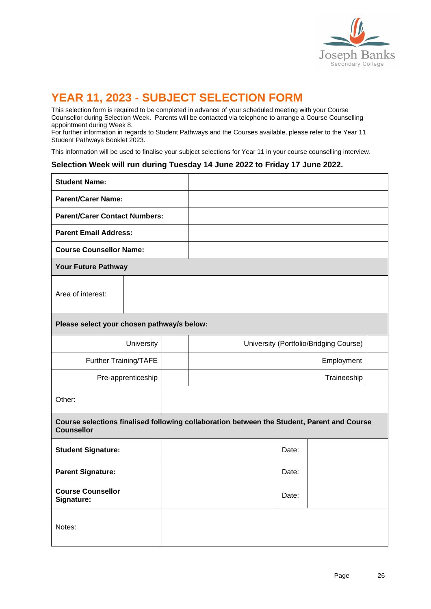

# **YEAR 11, 2023 - SUBJECT SELECTION FORM**

This selection form is required to be completed in advance of your scheduled meeting with your Course Counsellor during Selection Week. Parents will be contacted via telephone to arrange a Course Counselling appointment during Week 8.

For further information in regards to Student Pathways and the Courses available, please refer to the Year 11 Student Pathways Booklet 2023.

This information will be used to finalise your subject selections for Year 11 in your course counselling interview.

#### **Selection Week will run during Tuesday 14 June 2022 to Friday 17 June 2022.**

| <b>Student Name:</b>                                                                                            |  |  |                                        |  |  |            |  |  |
|-----------------------------------------------------------------------------------------------------------------|--|--|----------------------------------------|--|--|------------|--|--|
| <b>Parent/Carer Name:</b>                                                                                       |  |  |                                        |  |  |            |  |  |
| <b>Parent/Carer Contact Numbers:</b>                                                                            |  |  |                                        |  |  |            |  |  |
| <b>Parent Email Address:</b>                                                                                    |  |  |                                        |  |  |            |  |  |
| <b>Course Counsellor Name:</b>                                                                                  |  |  |                                        |  |  |            |  |  |
| Your Future Pathway                                                                                             |  |  |                                        |  |  |            |  |  |
| Area of interest:                                                                                               |  |  |                                        |  |  |            |  |  |
| Please select your chosen pathway/s below:                                                                      |  |  |                                        |  |  |            |  |  |
| University                                                                                                      |  |  | University (Portfolio/Bridging Course) |  |  |            |  |  |
| Further Training/TAFE                                                                                           |  |  |                                        |  |  | Employment |  |  |
| Pre-apprenticeship                                                                                              |  |  | Traineeship                            |  |  |            |  |  |
| Other:                                                                                                          |  |  |                                        |  |  |            |  |  |
| Course selections finalised following collaboration between the Student, Parent and Course<br><b>Counsellor</b> |  |  |                                        |  |  |            |  |  |
| <b>Student Signature:</b>                                                                                       |  |  |                                        |  |  | Date:      |  |  |
| <b>Parent Signature:</b>                                                                                        |  |  |                                        |  |  | Date:      |  |  |
| <b>Course Counsellor</b><br>Signature:                                                                          |  |  |                                        |  |  | Date:      |  |  |
| Notes:                                                                                                          |  |  |                                        |  |  |            |  |  |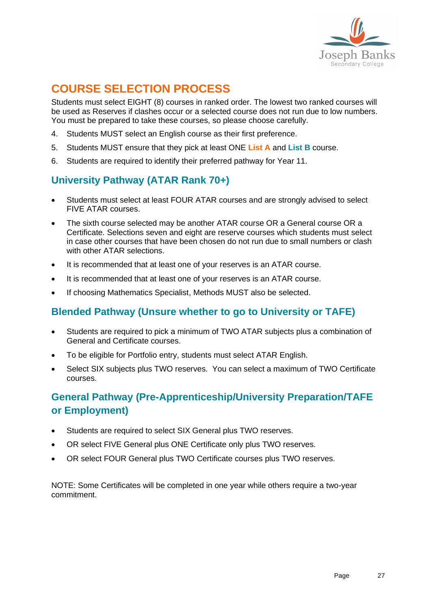

# **COURSE SELECTION PROCESS**

Students must select EIGHT (8) courses in ranked order. The lowest two ranked courses will be used as Reserves if clashes occur or a selected course does not run due to low numbers. You must be prepared to take these courses, so please choose carefully.

- 4. Students MUST select an English course as their first preference.
- 5. Students MUST ensure that they pick at least ONE **List A** and **List B** course.
- 6. Students are required to identify their preferred pathway for Year 11.

# **University Pathway (ATAR Rank 70+)**

- Students must select at least FOUR ATAR courses and are strongly advised to select FIVE ATAR courses.
- The sixth course selected may be another ATAR course OR a General course OR a Certificate. Selections seven and eight are reserve courses which students must select in case other courses that have been chosen do not run due to small numbers or clash with other ATAR selections.
- It is recommended that at least one of your reserves is an ATAR course.
- It is recommended that at least one of your reserves is an ATAR course.
- If choosing Mathematics Specialist, Methods MUST also be selected.

# **Blended Pathway (Unsure whether to go to University or TAFE)**

- Students are required to pick a minimum of TWO ATAR subjects plus a combination of General and Certificate courses.
- To be eligible for Portfolio entry, students must select ATAR English.
- Select SIX subjects plus TWO reserves. You can select a maximum of TWO Certificate courses.

# **General Pathway (Pre-Apprenticeship/University Preparation/TAFE or Employment)**

- Students are required to select SIX General plus TWO reserves.
- OR select FIVE General plus ONE Certificate only plus TWO reserves.
- OR select FOUR General plus TWO Certificate courses plus TWO reserves.

NOTE: Some Certificates will be completed in one year while others require a two-year commitment.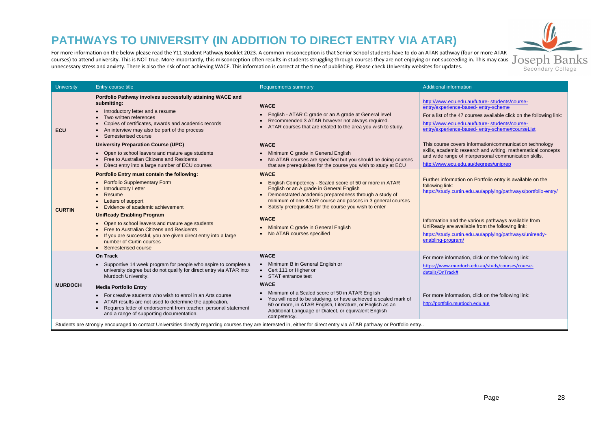# **PATHWAYS TO UNIVERSITY (IN ADDITION TO DIRECT ENTRY VIA ATAR)**

For more information on the below please read the Y11 Student Pathway Booklet 2023. A common misconception is that Senior School students have to do an ATAR pathway (four or more ATAR courses) to attend university. This is NOT true. More importantly, this misconception often results in studients in students ourses they are not succeeding in. This may cause  $J$  OSED $\rm h$   $\rm Banks$ unnecessary stress and anxiety. There is also the risk of not achieving WACE. This information is correct at the time of publishing. Please check University websites for updates.



| Portfolio Pathway involves successfully attaining WACE and<br>http://www.ecu.edu.au/future-students/course-<br>submitting:<br><b>WACE</b><br>entry/experience-based-entry-scheme<br>• Introductory letter and a resume<br>English - ATAR C grade or an A grade at General level<br>For a list of the 47 courses available click on the following link:<br>Two written references<br>Recommended 3 ATAR however not always required.<br>$\bullet$<br>http://www.ecu.edu.au/future-students/course-<br>Copies of certificates, awards and academic records<br>ATAR courses that are related to the area you wish to study.<br>entry/experience-based-entry-scheme#courseList<br>An interview may also be part of the process<br><b>ECU</b><br>Semesterised course<br>This course covers information/communication technology<br><b>University Preparation Course (UPC)</b><br><b>WACE</b><br>skills, academic research and writing, mathematical concepts<br>Open to school leavers and mature age students<br>Minimum C grade in General English<br>and wide range of interpersonal communication skills.<br>Free to Australian Citizens and Residents<br>No ATAR courses are specified but you should be doing courses<br>http://www.ecu.edu.au/degrees/uniprep<br>that are prerequisites for the course you wish to study at ECU<br>Direct entry into a large number of ECU courses<br>Portfolio Entry must contain the following:<br><b>WACE</b><br>Further information on Portfolio entry is available on the<br><b>Portfolio Supplementary Form</b><br>English Competency - Scaled score of 50 or more in ATAR<br>following link:<br>English or an A grade in General English<br><b>Introductory Letter</b><br>https://study.curtin.edu.au/applying/pathways/portfolio-entry/<br>Demonstrated academic preparedness through a study of<br>Resume<br>minimum of one ATAR course and passes in 3 general courses<br>Letters of support<br>Satisfy prerequisites for the course you wish to enter<br>Evidence of academic achievement<br><b>CURTIN</b><br><b>UniReady Enabling Program</b><br><b>WACE</b><br>Information and the various pathways available from<br>• Open to school leavers and mature age students<br>UniReady are available from the following link:<br>Minimum C grade in General English<br>Free to Australian Citizens and Residents<br>No ATAR courses specified<br>https://study.curtin.edu.au/applying/pathways/uniready-<br>If you are successful, you are given direct entry into a large<br>enabling-program/<br>number of Curtin courses<br>• Semesterised course<br><b>WACE</b><br>On Track<br>For more information, click on the following link:<br>• Minimum B in General English or<br>Supportive 14 week program for people who aspire to complete a<br>https://www.murdoch.edu.au/study/courses/course-<br>university degree but do not qualify for direct entry via ATAR into<br>• Cert 111 or Higher or<br>details/OnTrack#<br>Murdoch University.<br>• STAT entrance test<br><b>WACE</b><br><b>MURDOCH</b><br><b>Media Portfolio Entry</b><br>Minimum of a Scaled score of 50 in ATAR English<br>For more information, click on the following link:<br>• For creative students who wish to enrol in an Arts course<br>You will need to be studying, or have achieved a scaled mark of<br>ATAR results are not used to determine the application.<br>http://portfolio.murdoch.edu.au/<br>50 or more, in ATAR English, Literature, or English as an<br>Requires letter of endorsement from teacher, personal statement<br>Additional Language or Dialect, or equivalent English<br>and a range of supporting documentation.<br>competency. | <b>University</b> | Entry course title | <b>Requirements summary</b> | <b>Additional information</b> |
|---------------------------------------------------------------------------------------------------------------------------------------------------------------------------------------------------------------------------------------------------------------------------------------------------------------------------------------------------------------------------------------------------------------------------------------------------------------------------------------------------------------------------------------------------------------------------------------------------------------------------------------------------------------------------------------------------------------------------------------------------------------------------------------------------------------------------------------------------------------------------------------------------------------------------------------------------------------------------------------------------------------------------------------------------------------------------------------------------------------------------------------------------------------------------------------------------------------------------------------------------------------------------------------------------------------------------------------------------------------------------------------------------------------------------------------------------------------------------------------------------------------------------------------------------------------------------------------------------------------------------------------------------------------------------------------------------------------------------------------------------------------------------------------------------------------------------------------------------------------------------------------------------------------------------------------------------------------------------------------------------------------------------------------------------------------------------------------------------------------------------------------------------------------------------------------------------------------------------------------------------------------------------------------------------------------------------------------------------------------------------------------------------------------------------------------------------------------------------------------------------------------------------------------------------------------------------------------------------------------------------------------------------------------------------------------------------------------------------------------------------------------------------------------------------------------------------------------------------------------------------------------------------------------------------------------------------------------------------------------------------------------------------------------------------------------------------------------------------------------------------------------------------------------------------------------------------------------------------------------------------------------------------------------------------------------------------------------------------------------------------------------------------------------------------------------------------------------------------------------------------------------------------------------------------------------------------------------------------------------------------------------------------------------------------------|-------------------|--------------------|-----------------------------|-------------------------------|
|                                                                                                                                                                                                                                                                                                                                                                                                                                                                                                                                                                                                                                                                                                                                                                                                                                                                                                                                                                                                                                                                                                                                                                                                                                                                                                                                                                                                                                                                                                                                                                                                                                                                                                                                                                                                                                                                                                                                                                                                                                                                                                                                                                                                                                                                                                                                                                                                                                                                                                                                                                                                                                                                                                                                                                                                                                                                                                                                                                                                                                                                                                                                                                                                                                                                                                                                                                                                                                                                                                                                                                                                                                                                                 |                   |                    |                             |                               |
|                                                                                                                                                                                                                                                                                                                                                                                                                                                                                                                                                                                                                                                                                                                                                                                                                                                                                                                                                                                                                                                                                                                                                                                                                                                                                                                                                                                                                                                                                                                                                                                                                                                                                                                                                                                                                                                                                                                                                                                                                                                                                                                                                                                                                                                                                                                                                                                                                                                                                                                                                                                                                                                                                                                                                                                                                                                                                                                                                                                                                                                                                                                                                                                                                                                                                                                                                                                                                                                                                                                                                                                                                                                                                 |                   |                    |                             |                               |
| Students are strongly encouraged to contact Universities directly regarding courses they are interested in, either for direct entry via ATAR pathway or Portfolio entry                                                                                                                                                                                                                                                                                                                                                                                                                                                                                                                                                                                                                                                                                                                                                                                                                                                                                                                                                                                                                                                                                                                                                                                                                                                                                                                                                                                                                                                                                                                                                                                                                                                                                                                                                                                                                                                                                                                                                                                                                                                                                                                                                                                                                                                                                                                                                                                                                                                                                                                                                                                                                                                                                                                                                                                                                                                                                                                                                                                                                                                                                                                                                                                                                                                                                                                                                                                                                                                                                                         |                   |                    |                             |                               |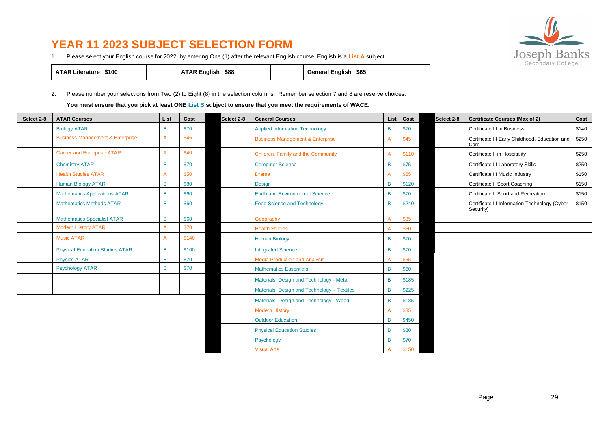# **YEAR 11 2023 SUBJECT SELECTION FORM**





| <b>ATAR Literature \$100</b> | ATAR English \$88 | General English \$65 |  |
|------------------------------|-------------------|----------------------|--|
|                              |                   |                      |  |

2. Please number your selections from Two (2) to Eight (8) in the selection columns. Remember selection 7 and 8 are reserve choices.

**You must ensure that you pick at least ONE List B subject to ensure that you meet the requirements of WACE.**

| Select 2-8 | <b>ATAR Courses</b>                         | List | Cost  | Select 2-8 | <b>General Courses</b>                      | List | Cost  | Select 2-8 | <b>Certificate Courses (Max of 2)</b>                      | Cost  |
|------------|---------------------------------------------|------|-------|------------|---------------------------------------------|------|-------|------------|------------------------------------------------------------|-------|
|            | <b>Biology ATAR</b>                         | B    | \$70  |            | <b>Applied Information Technology</b>       | B    | \$70  |            | Certificate III in Business                                | \$140 |
|            | <b>Business Management &amp; Enterprise</b> | A    | \$45  |            | <b>Business Management &amp; Enterprise</b> | A    | \$45  |            | Certificate III Early Childhood, Education and<br>Care     | \$250 |
|            | <b>Career and Enterprise ATAR</b>           |      | \$40  |            | Children, Family and the Community          |      | \$110 |            | Certificate II in Hospitality                              | \$250 |
|            | <b>Chemistry ATAR</b>                       | B    | \$70  |            | <b>Computer Science</b>                     | B    | \$75  |            | Certificate III Laboratory Skills                          | \$250 |
|            | <b>Health Studies ATAR</b>                  |      | \$50  |            | <b>Drama</b>                                |      | \$65  |            | Certificate III Music Industry                             | \$150 |
|            | <b>Human Biology ATAR</b>                   | B    | \$80  |            | <b>Design</b>                               | B    | \$120 |            | Certificate II Sport Coaching                              | \$150 |
|            | <b>Mathematics Applications ATAR</b>        | B    | \$60  |            | <b>Earth and Environmental Science</b>      | B    | \$70  |            | Certificate II Sport and Recreation                        | \$150 |
|            | <b>Mathematics Methods ATAR</b>             | B    | \$60  |            | Food Science and Technology                 | B    | \$240 |            | Certificate III Information Technology (Cyber<br>Security) | \$150 |
|            | <b>Mathematics Specialist ATAR</b>          | B    | \$60  |            | Geography                                   |      | \$35  |            |                                                            |       |
|            | <b>Modern History ATAR</b>                  |      | \$70  |            | <b>Health Studies</b>                       |      | \$50  |            |                                                            |       |
|            | <b>Music ATAR</b>                           |      | \$140 |            | <b>Human Biology</b>                        | B    | \$70  |            |                                                            |       |
|            | <b>Physical Education Studies ATAR</b>      | B    | \$100 |            | <b>Integrated Science</b>                   | B    | \$70  |            |                                                            |       |
|            | <b>Physics ATAR</b>                         | B    | \$70  |            | <b>Media Production and Analysis</b>        |      | \$65  |            |                                                            |       |
|            | <b>Psychology ATAR</b>                      | B    | \$70  |            | <b>Mathematics Essentials</b>               | B    | \$60  |            |                                                            |       |
|            |                                             |      |       |            | Materials, Design and Technology - Metal    | B    | \$185 |            |                                                            |       |
|            |                                             |      |       |            | Materials, Design and Technology - Textiles | B    | \$225 |            |                                                            |       |
|            |                                             |      |       |            | Materials, Design and Technology - Wood     | B    | \$185 |            |                                                            |       |

Modern History **A** \$35 Outdoor Education B \$450 Physical Education Studies **B** \$80 Psychology B \$70 Visual Arts **A** \$150